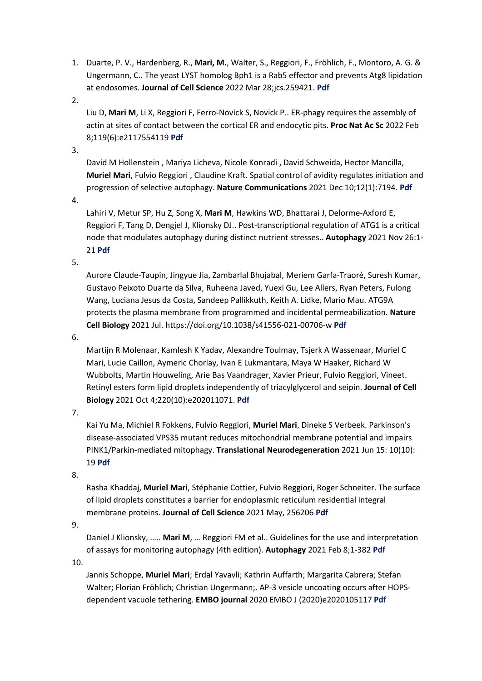1. Duarte, P. V., Hardenberg, R., **Mari, M.**, Walter, S., Reggiori, F., Fröhlich, F., Montoro, A. G. & Ungermann, C.. The yeast LYST homolog Bph1 is a Rab5 effector and prevents Atg8 lipidation at endosomes. **Journal of Cell Science** 2022 Mar 28;jcs.259421. **[Pdf](https://pubmed.ncbi.nlm.nih.gov/35343566/)**

2.

Liu D, **Mari M**, Li X, Reggiori F, Ferro-Novick S, Novick P.. ER-phagy requires the assembly of actin at sites of contact between the cortical ER and endocytic pits. **Proc Nat Ac Sc** 2022 Feb 8;119(6):e2117554119 **[Pdf](https://eur03.safelinks.protection.outlook.com/?url=https%3A%2F%2Fpubmed.ncbi.nlm.nih.gov%2F35101986%2F&data=04%7C01%7Cg.noppert%40umcg.nl%7C4f13d5032ea047feb69408d9e70df281%7C335122f9d4f44d67a2fccd6dc20dde70%7C0%7C0%7C637794869363057543%7CUnknown%7CTWFpb)**

3.

David M Hollenstein , Mariya Licheva, Nicole Konradi , David Schweida, Hector Mancilla, **Muriel Mari**, Fulvio Reggiori , Claudine Kraft. Spatial control of avidity regulates initiation and progression of selective autophagy. **Nature Communications** 2021 Dec 10;12(1):7194. **[Pdf](https://pubmed.ncbi.nlm.nih.gov/34893607/)**

4.

Lahiri V, Metur SP, Hu Z, Song X, **Mari M**, Hawkins WD, Bhattarai J, Delorme-Axford E, Reggiori F, Tang D, Dengjel J, Klionsky DJ.. Post-transcriptional regulation of ATG1 is a critical node that modulates autophagy during distinct nutrient stresses.. **Autophagy** 2021 Nov 26:1- 21 **[Pdf](https://pubmed.ncbi.nlm.nih.gov/34836487/)**

5.

Aurore Claude-Taupin, Jingyue Jia, Zambarlal Bhujabal, Meriem Garfa-Traoré, Suresh Kumar, Gustavo Peixoto Duarte da Silva, Ruheena Javed, Yuexi Gu, Lee Allers, Ryan Peters, Fulong Wang, Luciana Jesus da Costa, Sandeep Pallikkuth, Keith A. Lidke, Mario Mau. ATG9A protects the plasma membrane from programmed and incidental permeabilization. **Nature Cell Biology** 2021 Jul. https://doi.org/10.1038/s41556-021-00706-w **[Pdf](https://www.nature.com/articles/s41556-021-00706-w)**

6.

Martijn R Molenaar, Kamlesh K Yadav, Alexandre Toulmay, Tsjerk A Wassenaar, Muriel C Mari, Lucie Caillon, Aymeric Chorlay, Ivan E Lukmantara, Maya W Haaker, Richard W Wubbolts, Martin Houweling, Arie Bas Vaandrager, Xavier Prieur, Fulvio Reggiori, Vineet. Retinyl esters form lipid droplets independently of triacylglycerol and seipin. **Journal of Cell Biology** 2021 Oct 4;220(10):e202011071. **[Pdf](https://pubmed.ncbi.nlm.nih.gov/34323918/)**

7.

Kai Yu Ma, Michiel R Fokkens, Fulvio Reggiori, **Muriel Mari**, Dineke S Verbeek. Parkinson's disease-associated VPS35 mutant reduces mitochondrial membrane potential and impairs PINK1/Parkin-mediated mitophagy. **Translational Neurodegeneration** 2021 Jun 15: 10(10): 19 **[Pdf](https://pubmed.ncbi.nlm.nih.gov/34127073/)**

8.

Rasha Khaddaj, **Muriel Mari**, Stéphanie Cottier, Fulvio Reggiori, Roger Schneiter. The surface of lipid droplets constitutes a barrier for endoplasmic reticulum residential integral membrane proteins. **Journal of Cell Science** 2021 May, 256206 **[Pdf](https://journals.biologists.com/jcs/article/doi/10.1242/jcs.256206/258475/The-surface-of-lipid-droplets-constitutes-a)**

9.

Daniel J Klionsky, ….. **Mari M**, … Reggiori FM et al.. Guidelines for the use and interpretation of assays for monitoring autophagy (4th edition). **Autophagy** 2021 Feb 8;1-382 **[Pdf](https://pubmed.ncbi.nlm.nih.gov/33634751/)**

10.

Jannis Schoppe, **Muriel Mari**; Erdal Yavavli; Kathrin Auffarth; Margarita Cabrera; Stefan Walter; Florian Fröhlich; Christian Ungermann;. AP-3 vesicle uncoating occurs after HOPSdependent vacuole tethering. **EMBO journal** 2020 EMBO J (2020)e2020105117 **[Pdf](https://www.embopress.org/doi/abs/10.15252/embj.2020105117)**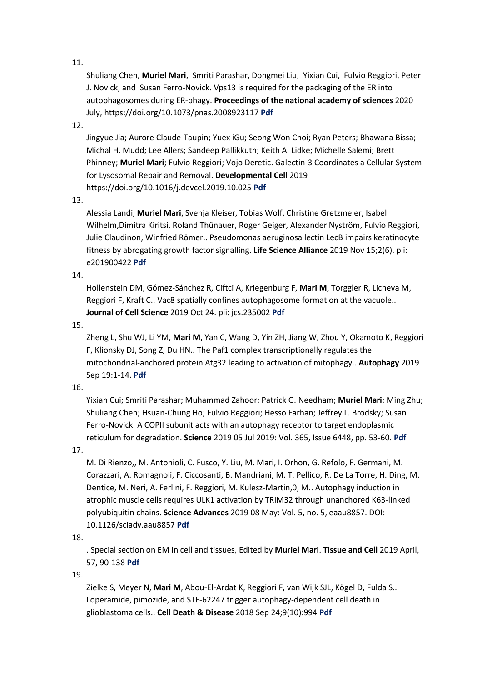Shuliang Chen, **Muriel Mari**, Smriti Parashar, Dongmei Liu, Yixian Cui, Fulvio Reggiori, Peter J. Novick, and Susan Ferro-Novick. Vps13 is required for the packaging of the ER into autophagosomes during ER-phagy. **Proceedings of the national academy of sciences** 2020 July, https://doi.org/10.1073/pnas.2008923117 **[Pdf](https://www.pnas.org/content/early/2020/07/17/2008923117)**

12.

Jingyue Jia; Aurore Claude-Taupin; Yuex iGu; Seong Won Choi; Ryan Peters; Bhawana Bissa; Michal H. Mudd; Lee Allers; Sandeep Pallikkuth; Keith A. Lidke; Michelle Salemi; Brett Phinney; **Muriel Mari**; Fulvio Reggiori; Vojo Deretic. Galectin-3 Coordinates a Cellular System for Lysosomal Repair and Removal. **Developmental Cell** 2019 https://doi.org/10.1016/j.devcel.2019.10.025 **[Pdf](https://doi.org/10.1016/j.devcel.2019.10.025)**

13.

Alessia Landi, **Muriel Mari**, Svenja Kleiser, Tobias Wolf, Christine Gretzmeier, Isabel Wilhelm,Dimitra Kiritsi, Roland Thünauer, Roger Geiger, Alexander Nyström, Fulvio Reggiori, Julie Claudinon, Winfried Römer.. Pseudomonas aeruginosa lectin LecB impairs keratinocyte fitness by abrogating growth factor signalling. **Life Science Alliance** 2019 Nov 15;2(6). pii: e201900422 **[Pdf](https://www.life-science-alliance.org/content/2/6/e201900422)**

14.

Hollenstein DM, Gómez-Sánchez R, Ciftci A, Kriegenburg F, **Mari M**, Torggler R, Licheva M, Reggiori F, Kraft C.. Vac8 spatially confines autophagosome formation at the vacuole.. **Journal of Cell Science** 2019 Oct 24. pii: jcs.235002 **[Pdf](https://jcs.biologists.org/content/early/2019/10/21/jcs.235002.long)**

15.

Zheng L, Shu WJ, Li YM, **Mari M**, Yan C, Wang D, Yin ZH, Jiang W, Zhou Y, Okamoto K, Reggiori F, Klionsky DJ, Song Z, Du HN.. The Paf1 complex transcriptionally regulates the mitochondrial-anchored protein Atg32 leading to activation of mitophagy.. **Autophagy** 2019 Sep 19:1-14. **[Pdf](https://www.ncbi.nlm.nih.gov/pubmed/31525119)**

16.

Yixian Cui; Smriti Parashar; Muhammad Zahoor; Patrick G. Needham; **Muriel Mari**; Ming Zhu; Shuliang Chen; Hsuan-Chung Ho; Fulvio Reggiori; Hesso Farhan; Jeffrey L. Brodsky; Susan Ferro-Novick. A COPII subunit acts with an autophagy receptor to target endoplasmic reticulum for degradation. **Science** 2019 05 Jul 2019: Vol. 365, Issue 6448, pp. 53-60. **[Pdf](https://science.sciencemag.org/content/365/6448/53?utm_campaign=toc_sci-mag_2019-07-03&et_rid=38469653&et_cid=2891057)**

17.

M. Di Rienzo,, M. Antonioli, C. Fusco, Y. Liu, M. Mari, I. Orhon, G. Refolo, F. Germani, M. Corazzari, A. Romagnoli, F. Ciccosanti, B. Mandriani, M. T. Pellico, R. De La Torre, H. Ding, M. Dentice, M. Neri, A. Ferlini, F. Reggiori, M. Kulesz-Martin,0, M.. Autophagy induction in atrophic muscle cells requires ULK1 activation by TRIM32 through unanchored K63-linked polyubiquitin chains. **Science Advances** 2019 08 May: Vol. 5, no. 5, eaau8857. DOI: 10.1126/sciadv.aau8857 **[Pdf](https://advances.sciencemag.org/content/5/5/eaau8857)**

18.

. Special section on EM in cell and tissues, Edited by **Muriel Mari**. **Tissue and Cell** 2019 April, 57, 90-138 **[Pdf](https://www.sciencedirect.com/journal/tissue-and-cell/vol/57/suppl/C)**

19.

Zielke S, Meyer N, **Mari M**, Abou-El-Ardat K, Reggiori F, van Wijk SJL, Kögel D, Fulda S.. Loperamide, pimozide, and STF-62247 trigger autophagy-dependent cell death in glioblastoma cells.. **Cell Death & Disease** 2018 Sep 24;9(10):994 **[Pdf](https://www.ncbi.nlm.nih.gov/pubmed/30250198)**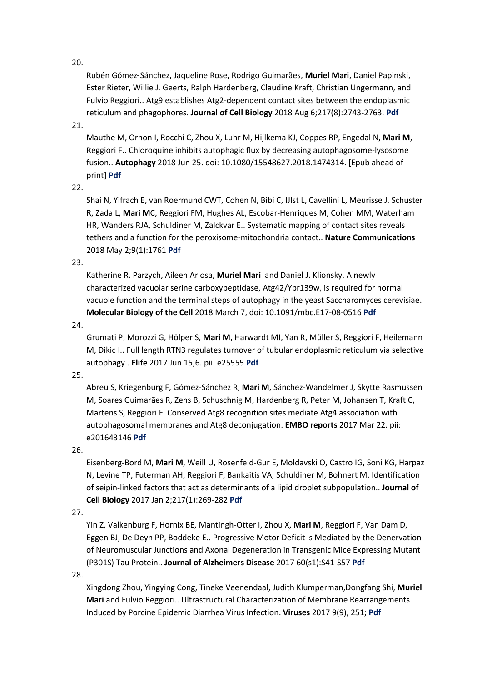Rubén Gómez‑Sánchez, Jaqueline Rose, Rodrigo Guimarães, **Muriel Mari**, Daniel Papinski, Ester Rieter, Willie J. Geerts, Ralph Hardenberg, Claudine Kraft, Christian Ungermann, and Fulvio Reggiori.. Atg9 establishes Atg2-dependent contact sites between the endoplasmic reticulum and phagophores. **Journal of Cell Biology** 2018 Aug 6;217(8):2743-2763. **[Pdf](http://jcb.rupress.org/content/jcb/early/2018/05/29/jcb.201710116.full.pdf)**

21.

Mauthe M, Orhon I, Rocchi C, Zhou X, Luhr M, Hijlkema KJ, Coppes RP, Engedal N, **Mari M**, Reggiori F.. Chloroquine inhibits autophagic flux by decreasing autophagosome-lysosome fusion.. **Autophagy** 2018 Jun 25. doi: 10.1080/15548627.2018.1474314. [Epub ahead of print] **[Pdf](https://www.ncbi.nlm.nih.gov/pubmed/29940786)**

22.

Shai N, Yifrach E, van Roermund CWT, Cohen N, Bibi C, IJlst L, Cavellini L, Meurisse J, Schuster R, Zada L, **Mari M**C, Reggiori FM, Hughes AL, Escobar-Henriques M, Cohen MM, Waterham HR, Wanders RJA, Schuldiner M, Zalckvar E.. Systematic mapping of contact sites reveals tethers and a function for the peroxisome-mitochondria contact.. **Nature Communications** 2018 May 2;9(1):1761 **[Pdf](https://www.nature.com/articles/s41467-018-03957-8)**

23.

Katherine R. Parzych, Aileen Ariosa, **Muriel Mari** and Daniel J. Klionsky. A newly characterized vacuolar serine carboxypeptidase, Atg42/Ybr139w, is required for normal vacuole function and the terminal steps of autophagy in the yeast Saccharomyces cerevisiae. **Molecular Biology of the Cell** 2018 March 7, doi: 10.1091/mbc.E17-08-0516 **[Pdf](http://www.molbiolcell.org/content/early/2018/03/01/mbc.E17-08-0516.full.pdf+html)**

24.

Grumati P, Morozzi G, Hölper S, **Mari M**, Harwardt MI, Yan R, Müller S, Reggiori F, Heilemann M, Dikic I.. Full length RTN3 regulates turnover of tubular endoplasmic reticulum via selective autophagy.. **Elife** 2017 Jun 15;6. pii: e25555 **[Pdf](http://www.ncbi.nlm.nih.gov/pubmed/28617241)**

25.

Abreu S, Kriegenburg F, Gómez-Sánchez R, **Mari M**, Sánchez-Wandelmer J, Skytte Rasmussen M, Soares Guimarães R, Zens B, Schuschnig M, Hardenberg R, Peter M, Johansen T, Kraft C, Martens S, Reggiori F. Conserved Atg8 recognition sites mediate Atg4 association with autophagosomal membranes and Atg8 deconjugation. **EMBO reports** 2017 Mar 22. pii: e201643146 **[Pdf](http://embor.embopress.org/content/embor/early/2017/03/22/embr.201643146.full.pdf)**

26.

Eisenberg-Bord M, **Mari M**, Weill U, Rosenfeld-Gur E, Moldavski O, Castro IG, Soni KG, Harpaz N, Levine TP, Futerman AH, Reggiori F, Bankaitis VA, Schuldiner M, Bohnert M. Identification of seipin-linked factors that act as determinants of a lipid droplet subpopulation.. **Journal of Cell Biology** 2017 Jan 2;217(1):269-282 **[Pdf](http://jcb.rupress.org/content/early/2017/11/28/jcb.201704122.long)**

27.

Yin Z, Valkenburg F, Hornix BE, Mantingh-Otter I, Zhou X, **Mari M**, Reggiori F, Van Dam D, Eggen BJ, De Deyn PP, Boddeke E.. Progressive Motor Deficit is Mediated by the Denervation of Neuromuscular Junctions and Axonal Degeneration in Transgenic Mice Expressing Mutant (P301S) Tau Protein.. **Journal of Alzheimers Disease** 2017 60(s1):S41-S57 **[Pdf](https://content.iospress.com/articles/journal-of-alzheimers-disease/jad161206)**

28.

Xingdong Zhou, Yingying Cong, Tineke Veenendaal, Judith Klumperman,Dongfang Shi, **Muriel Mari** and Fulvio Reggiori.. Ultrastructural Characterization of Membrane Rearrangements Induced by Porcine Epidemic Diarrhea Virus Infection. **Viruses** 2017 9(9), 251; **[Pdf](http://www.mdpi.com/1999-4915/9/9/251/pdf)**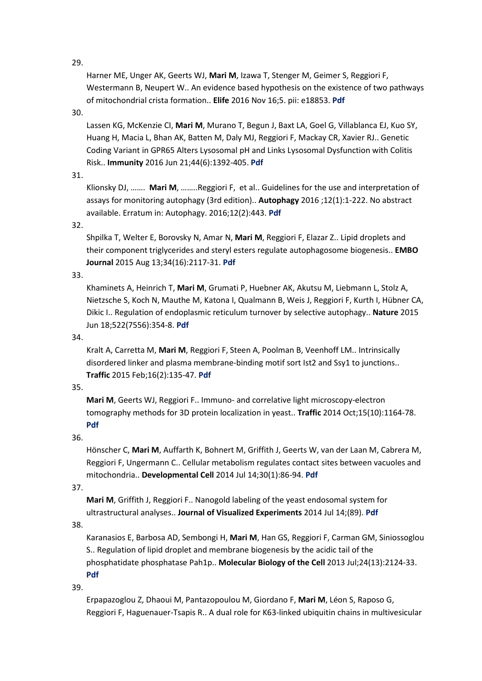Harner ME, Unger AK, Geerts WJ, **Mari M**, Izawa T, Stenger M, Geimer S, Reggiori F, Westermann B, Neupert W.. An evidence based hypothesis on the existence of two pathways of mitochondrial crista formation.. **Elife** 2016 Nov 16;5. pii: e18853. **[Pdf](https://www.ncbi.nlm.nih.gov/pubmed/27849155)**

# 30.

Lassen KG, McKenzie CI, **Mari M**, Murano T, Begun J, Baxt LA, Goel G, Villablanca EJ, Kuo SY, Huang H, Macia L, Bhan AK, Batten M, Daly MJ, Reggiori F, Mackay CR, Xavier RJ.. Genetic Coding Variant in GPR65 Alters Lysosomal pH and Links Lysosomal Dysfunction with Colitis Risk.. **Immunity** 2016 Jun 21;44(6):1392-405. **[Pdf](http://www.sciencedirect.com/science/article/pii/S1074761316301613)**

## 31.

Klionsky DJ, ……. **Mari M**, ……..Reggiori F, et al.. Guidelines for the use and interpretation of assays for monitoring autophagy (3rd edition).. **Autophagy** 2016 ;12(1):1-222. No abstract available. Erratum in: Autophagy. 2016;12(2):443. **[Pdf](https://www.ncbi.nlm.nih.gov/pubmed/26799652)**

## 32.

Shpilka T, Welter E, Borovsky N, Amar N, **Mari M**, Reggiori F, Elazar Z.. Lipid droplets and their component triglycerides and steryl esters regulate autophagosome biogenesis.. **EMBO Journal** 2015 Aug 13;34(16):2117-31. **[Pdf](https://www.ncbi.nlm.nih.gov/pubmed/26162625)**

# 33.

Khaminets A, Heinrich T, **Mari M**, Grumati P, Huebner AK, Akutsu M, Liebmann L, Stolz A, Nietzsche S, Koch N, Mauthe M, Katona I, Qualmann B, Weis J, Reggiori F, Kurth I, Hübner CA, Dikic I.. Regulation of endoplasmic reticulum turnover by selective autophagy.. **Nature** 2015 Jun 18;522(7556):354-8. **[Pdf](https://www.ncbi.nlm.nih.gov/pubmed/26040720)**

## 34.

Kralt A, Carretta M, **Mari M**, Reggiori F, Steen A, Poolman B, Veenhoff LM.. Intrinsically disordered linker and plasma membrane-binding motif sort Ist2 and Ssy1 to junctions.. **Traffic** 2015 Feb;16(2):135-47. **[Pdf](https://www.ncbi.nlm.nih.gov/pubmed/25409870)**

## 35.

**Mari M**, Geerts WJ, Reggiori F.. Immuno- and correlative light microscopy-electron tomography methods for 3D protein localization in yeast.. **Traffic** 2014 Oct;15(10):1164-78. **[Pdf](https://www.ncbi.nlm.nih.gov/pubmed/25040403)**

# 36.

Hönscher C, **Mari M**, Auffarth K, Bohnert M, Griffith J, Geerts W, van der Laan M, Cabrera M, Reggiori F, Ungermann C.. Cellular metabolism regulates contact sites between vacuoles and mitochondria.. **Developmental Cell** 2014 Jul 14;30(1):86-94. **[Pdf](https://www.ncbi.nlm.nih.gov/pubmed/25026035)**

## 37.

**Mari M**, Griffith J, Reggiori F.. Nanogold labeling of the yeast endosomal system for ultrastructural analyses.. **Journal of Visualized Experiments** 2014 Jul 14;(89). **[Pdf](https://www.ncbi.nlm.nih.gov/pubmed/25046212)**

## 38.

Karanasios E, Barbosa AD, Sembongi H, **Mari M**, Han GS, Reggiori F, Carman GM, Siniossoglou S.. Regulation of lipid droplet and membrane biogenesis by the acidic tail of the phosphatidate phosphatase Pah1p.. **Molecular Biology of the Cell** 2013 Jul;24(13):2124-33. **[Pdf](https://www.ncbi.nlm.nih.gov/pubmed/23657815)**

## 39.

Erpapazoglou Z, Dhaoui M, Pantazopoulou M, Giordano F, **Mari M**, Léon S, Raposo G, Reggiori F, Haguenauer-Tsapis R.. A dual role for K63-linked ubiquitin chains in multivesicular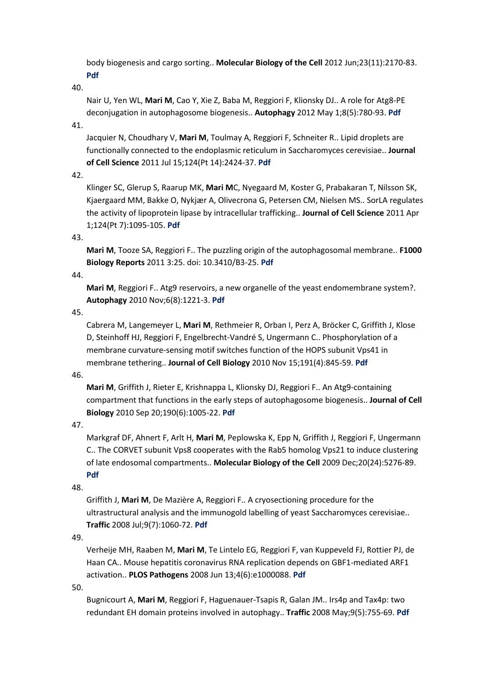body biogenesis and cargo sorting.. **Molecular Biology of the Cell** 2012 Jun;23(11):2170-83. **[Pdf](https://www.ncbi.nlm.nih.gov/pubmed/22493318)**

40.

Nair U, Yen WL, **Mari M**, Cao Y, Xie Z, Baba M, Reggiori F, Klionsky DJ.. A role for Atg8-PE deconjugation in autophagosome biogenesis.. **Autophagy** 2012 May 1;8(5):780-93. **[Pdf](https://www.ncbi.nlm.nih.gov/pubmed/22622160)**

41.

Jacquier N, Choudhary V, **Mari M**, Toulmay A, Reggiori F, Schneiter R.. Lipid droplets are functionally connected to the endoplasmic reticulum in Saccharomyces cerevisiae.. **Journal of Cell Science** 2011 Jul 15;124(Pt 14):2424-37. **[Pdf](https://www.ncbi.nlm.nih.gov/pubmed/21693588)**

42.

Klinger SC, Glerup S, Raarup MK, **Mari M**C, Nyegaard M, Koster G, Prabakaran T, Nilsson SK, Kjaergaard MM, Bakke O, Nykjær A, Olivecrona G, Petersen CM, Nielsen MS.. SorLA regulates the activity of lipoprotein lipase by intracellular trafficking.. **Journal of Cell Science** 2011 Apr 1;124(Pt 7):1095-105. **[Pdf](https://www.ncbi.nlm.nih.gov/pubmed/21385844)**

43.

**Mari M**, Tooze SA, Reggiori F.. The puzzling origin of the autophagosomal membrane.. **F1000 Biology Reports** 2011 3:25. doi: 10.3410/B3-25. **[Pdf](https://www.ncbi.nlm.nih.gov/pubmed/22162728)**

44.

**Mari M**, Reggiori F.. Atg9 reservoirs, a new organelle of the yeast endomembrane system?. **Autophagy** 2010 Nov;6(8):1221-3. **[Pdf](https://www.ncbi.nlm.nih.gov/pubmed/20962573)**

45.

Cabrera M, Langemeyer L, **Mari M**, Rethmeier R, Orban I, Perz A, Bröcker C, Griffith J, Klose D, Steinhoff HJ, Reggiori F, Engelbrecht-Vandré S, Ungermann C.. Phosphorylation of a membrane curvature-sensing motif switches function of the HOPS subunit Vps41 in membrane tethering.. **Journal of Cell Biology** 2010 Nov 15;191(4):845-59. **[Pdf](https://www.ncbi.nlm.nih.gov/pubmed/21079247)**

46.

**Mari M**, Griffith J, Rieter E, Krishnappa L, Klionsky DJ, Reggiori F.. An Atg9-containing compartment that functions in the early steps of autophagosome biogenesis.. **Journal of Cell Biology** 2010 Sep 20;190(6):1005-22. **[Pdf](https://www.ncbi.nlm.nih.gov/pubmed/20855505)**

47.

Markgraf DF, Ahnert F, Arlt H, **Mari M**, Peplowska K, Epp N, Griffith J, Reggiori F, Ungermann C.. The CORVET subunit Vps8 cooperates with the Rab5 homolog Vps21 to induce clustering of late endosomal compartments.. **Molecular Biology of the Cell** 2009 Dec;20(24):5276-89. **[Pdf](https://www.ncbi.nlm.nih.gov/pubmed/19828734)**

48.

Griffith J, **Mari M**, De Mazière A, Reggiori F.. A cryosectioning procedure for the ultrastructural analysis and the immunogold labelling of yeast Saccharomyces cerevisiae.. **Traffic** 2008 Jul;9(7):1060-72. **[Pdf](https://www.ncbi.nlm.nih.gov/pubmed/18429928)**

49.

Verheije MH, Raaben M, **Mari M**, Te Lintelo EG, Reggiori F, van Kuppeveld FJ, Rottier PJ, de Haan CA.. Mouse hepatitis coronavirus RNA replication depends on GBF1-mediated ARF1 activation.. **PLOS Pathogens** 2008 Jun 13;4(6):e1000088. **[Pdf](https://www.ncbi.nlm.nih.gov/pubmed/18551169)**

50.

Bugnicourt A, **Mari M**, Reggiori F, Haguenauer-Tsapis R, Galan JM.. Irs4p and Tax4p: two redundant EH domain proteins involved in autophagy.. **Traffic** 2008 May;9(5):755-69. **[Pdf](https://www.ncbi.nlm.nih.gov/pubmed/18298591)**